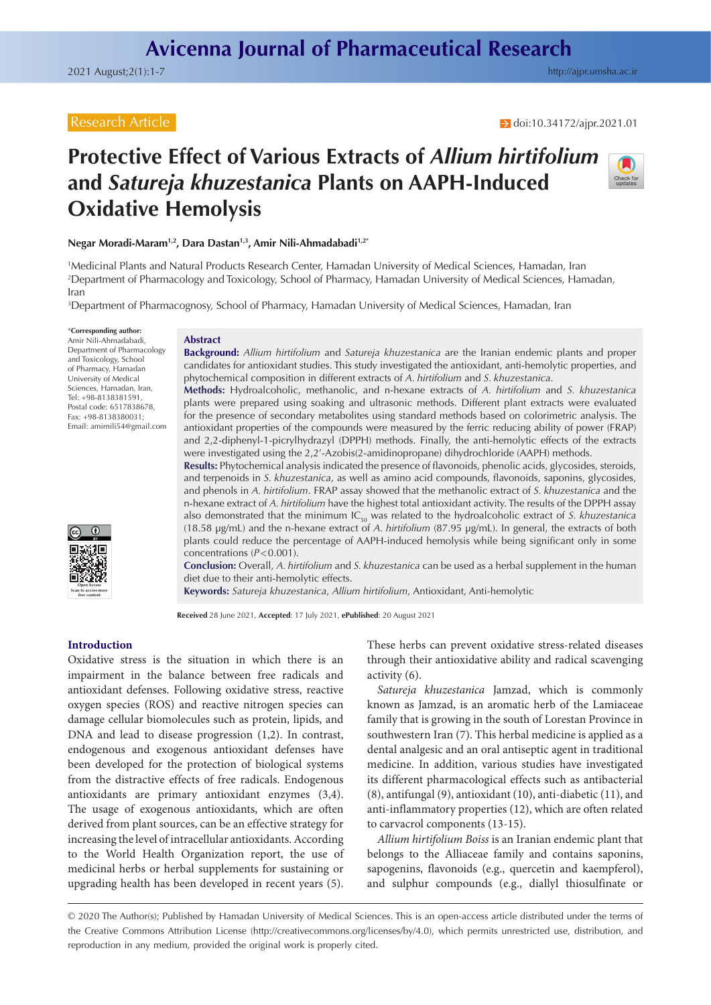$\rightarrow$  doi[:10.34172/ajpr.2021.01](https://doi.org/10.34172/ajpr.2021.01)

# **Protective Effect of Various Extracts of** *Allium hirtifolium* **and** *Satureja khuzestanica* **Plants on AAPH-Induced Oxidative Hemolysis**



**Negar Moradi-Maram1,2, Dara Dastan1,3, Amir Nili-Ahmadabadi1,2\***

1 Medicinal Plants and Natural Products Research Center, Hamadan University of Medical Sciences, Hamadan, Iran 2 Department of Pharmacology and Toxicology, School of Pharmacy, Hamadan University of Medical Sciences, Hamadan, Iran

3 Department of Pharmacognosy, School of Pharmacy, Hamadan University of Medical Sciences, Hamadan, Iran

\***Corresponding author:** Amir Nili-Ahmadabadi,

Department of Pharmacology and Toxicology, School of Pharmacy, Hamadan University of Medical Sciences, Hamadan, Iran, Tel: +98-8138381591, Postal code: 6517838678, Fax: +98-8138380031; Email: amirnili54@gmail.com



#### **Abstract**

**Background:** *Allium hirtifolium* and *Satureja khuzestanica* are the Iranian endemic plants and proper candidates for antioxidant studies. This study investigated the antioxidant, anti-hemolytic properties, and phytochemical composition in different extracts of *A. hirtifolium* and *S. khuzestanica*.

**Methods:** Hydroalcoholic, methanolic, and n-hexane extracts of *A. hirtifolium* and *S. khuzestanica* plants were prepared using soaking and ultrasonic methods. Different plant extracts were evaluated for the presence of secondary metabolites using standard methods based on colorimetric analysis. The antioxidant properties of the compounds were measured by the ferric reducing ability of power (FRAP) and 2,2-diphenyl-1-picrylhydrazyl (DPPH) methods. Finally, the anti-hemolytic effects of the extracts were investigated using the 2,2'-Azobis(2-amidinopropane) dihydrochloride (AAPH) methods.

**Results:** Phytochemical analysis indicated the presence of flavonoids, phenolic acids, glycosides, steroids, and terpenoids in *S. khuzestanica*, as well as amino acid compounds, flavonoids, saponins, glycosides, and phenols in *A. hirtifolium*. FRAP assay showed that the methanolic extract of *S. khuzestanica* and the n-hexane extract of *A. hirtifolium* have the highest total antioxidant activity. The results of the DPPH assay also demonstrated that the minimum IC<sub>50</sub> was related to the hydroalcoholic extract of *S. khuzestanica* (18.58 µg/mL) and the n-hexane extract of *A. hirtifolium* (87.95 µg/mL). In general, the extracts of both plants could reduce the percentage of AAPH-induced hemolysis while being significant only in some concentrations (*P*<0.001).

**Conclusion:** Overall, *A. hirtifolium* and *S. khuzestanica* can be used as a herbal supplement in the human diet due to their anti-hemolytic effects.

**Keywords:** *Satureja khuzestanica*, *Allium hirtifolium*, Antioxidant, Anti-hemolytic

**Received** 28 June 2021, **Accepted**: 17 July 2021, **ePublished**: 20 August 2021

# **Introduction**

Oxidative stress is the situation in which there is an impairment in the balance between free radicals and antioxidant defenses. Following oxidative stress, reactive oxygen species (ROS) and reactive nitrogen species can damage cellular biomolecules such as protein, lipids, and DNA and lead to disease progression (1,2). In contrast, endogenous and exogenous antioxidant defenses have been developed for the protection of biological systems from the distractive effects of free radicals. Endogenous antioxidants are primary antioxidant enzymes (3,4). The usage of exogenous antioxidants, which are often derived from plant sources, can be an effective strategy for increasing the level of intracellular antioxidants. According to the World Health Organization report, the use of medicinal herbs or herbal supplements for sustaining or upgrading health has been developed in recent years (5).

These herbs can prevent oxidative stress-related diseases through their antioxidative ability and radical scavenging activity (6).

*Satureja khuzestanica* Jamzad, which is commonly known as Jamzad, is an aromatic herb of the Lamiaceae family that is growing in the south of Lorestan Province in southwestern Iran (7). This herbal medicine is applied as a dental analgesic and an oral antiseptic agent in traditional medicine. In addition, various studies have investigated its different pharmacological effects such as antibacterial (8), antifungal (9), antioxidant (10), anti-diabetic (11), and anti-inflammatory properties (12), which are often related to carvacrol components (13-15).

*Allium hirtifolium Boiss* is an Iranian endemic plant that belongs to the Alliaceae family and contains saponins, sapogenins, flavonoids (e.g., quercetin and kaempferol), and sulphur compounds (e.g., diallyl thiosulfinate or

© 2020 The Author(s); Published by Hamadan University of Medical Sciences. This is an open-access article distributed under the terms of the Creative Commons Attribution License [\(http://creativecommons.org/licenses/by/4.0](http://creativecommons.org/licenses/by/4.0)), which permits unrestricted use, distribution, and reproduction in any medium, provided the original work is properly cited.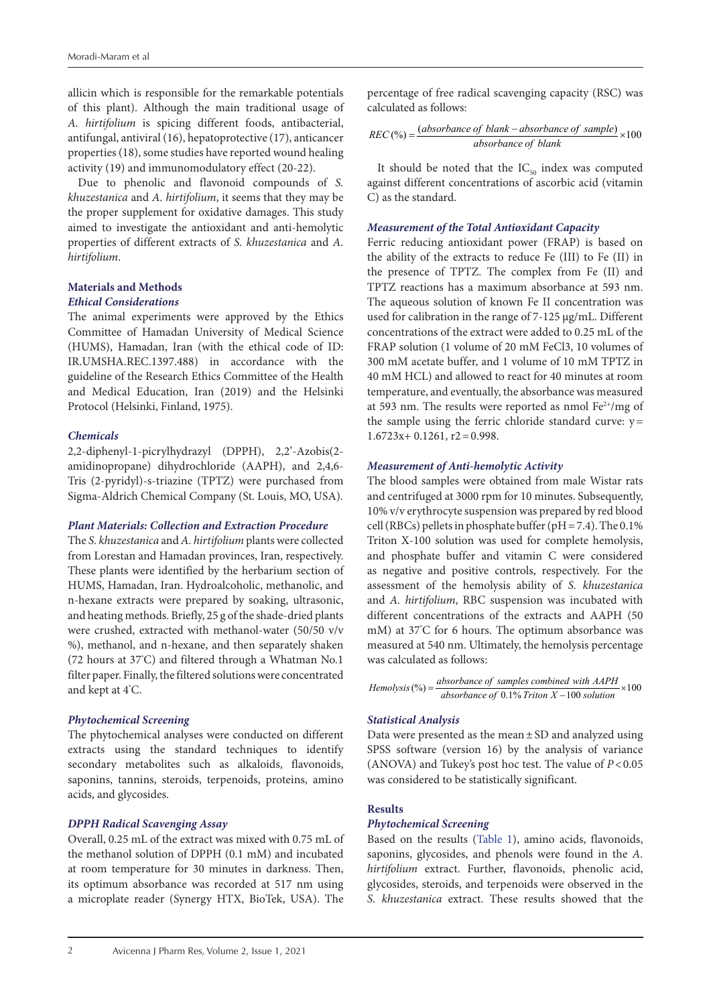allicin which is responsible for the remarkable potentials of this plant). Although the main traditional usage of *A. hirtifolium* is spicing different foods, antibacterial, antifungal, antiviral (16), hepatoprotective (17), anticancer properties (18), some studies have reported wound healing activity (19) and immunomodulatory effect (20-22).

Due to phenolic and flavonoid compounds of *S. khuzestanica* and *A. hirtifolium*, it seems that they may be the proper supplement for oxidative damages. This study aimed to investigate the antioxidant and anti-hemolytic properties of different extracts of *S. khuzestanica* and *A. hirtifolium*.

# **Materials and Methods**

# *Ethical Considerations*

The animal experiments were approved by the Ethics Committee of Hamadan University of Medical Science (HUMS), Hamadan, Iran (with the ethical code of ID: IR.UMSHA.REC.1397.488) in accordance with the guideline of the Research Ethics Committee of the Health and Medical Education, Iran (2019) and the Helsinki Protocol (Helsinki, Finland, 1975).

# *Chemicals*

2,2-diphenyl-1-picrylhydrazyl (DPPH), 2,2'-Azobis(2 amidinopropane) dihydrochloride (AAPH), and 2,4,6- Tris (2-pyridyl)-s-triazine (TPTZ) were purchased from Sigma-Aldrich Chemical Company (St. Louis, MO, USA).

#### *Plant Materials: Collection and Extraction Procedure*

The *S. khuzestanica* and *A. hirtifolium* plants were collected from Lorestan and Hamadan provinces, Iran, respectively. These plants were identified by the herbarium section of HUMS, Hamadan, Iran. Hydroalcoholic, methanolic, and n-hexane extracts were prepared by soaking, ultrasonic, and heating methods. Briefly, 25 g of the shade-dried plants were crushed, extracted with methanol-water (50/50 v/v %), methanol, and n-hexane, and then separately shaken (72 hours at 37° C) and filtered through a Whatman No.1 filter paper. Finally, the filtered solutions were concentrated and kept at 4° C.

## *Phytochemical Screening*

The phytochemical analyses were conducted on different extracts using the standard techniques to identify secondary metabolites such as alkaloids, flavonoids, saponins, tannins, steroids, terpenoids, proteins, amino acids, and glycosides.

# *DPPH Radical Scavenging Assay*

Overall, 0.25 mL of the extract was mixed with 0.75 mL of the methanol solution of DPPH (0.1 mM) and incubated at room temperature for 30 minutes in darkness. Then, its optimum absorbance was recorded at 517 nm using a microplate reader (Synergy HTX, BioTek, USA). The

$$
REC\,%) = \frac{(absorbance \ of \ blank - absorbance \ of \ sample)}{absorbance \ of \ blank} \times 100
$$

It should be noted that the  $IC_{50}$  index was computed against different concentrations of ascorbic acid (vitamin C) as the standard.

## *Measurement of the Total Antioxidant Capacity*

Ferric reducing antioxidant power (FRAP) is based on the ability of the extracts to reduce Fe (III) to Fe (II) in the presence of TPTZ. The complex from Fe (II) and TPTZ reactions has a maximum absorbance at 593 nm. The aqueous solution of known Fe II concentration was used for calibration in the range of 7-125 µg/mL. Different concentrations of the extract were added to 0.25 mL of the FRAP solution (1 volume of 20 mM FeCl3, 10 volumes of 300 mM acetate buffer, and 1 volume of 10 mM TPTZ in 40 mM HCL) and allowed to react for 40 minutes at room temperature, and eventually, the absorbance was measured at 593 nm. The results were reported as nmol  $Fe^{2+}/mg$  of the sample using the ferric chloride standard curve:  $y=$  $1.6723x+0.1261$ ,  $r2=0.998$ .

## *Measurement of Anti-hemolytic Activity*

The blood samples were obtained from male Wistar rats and centrifuged at 3000 rpm for 10 minutes. Subsequently, 10% v/v erythrocyte suspension was prepared by red blood cell (RBCs) pellets in phosphate buffer ( $pH = 7.4$ ). The 0.1% Triton X-100 solution was used for complete hemolysis, and phosphate buffer and vitamin C were considered as negative and positive controls, respectively. For the assessment of the hemolysis ability of *S. khuzestanica* and *A. hirtifolium*, RBC suspension was incubated with different concentrations of the extracts and AAPH (50 mM) at 37° C for 6 hours. The optimum absorbance was measured at 540 nm. Ultimately, the hemolysis percentage was calculated as follows:

Hemolysis (%) = 
$$
\frac{absorbance \text{ of samples combined with } AAPH}{absorbance \text{ of } 0.1\% \text{ Triton } X - 100 \text{ solution}} \times 100
$$

#### *Statistical Analysis*

Data were presented as the mean±SD and analyzed using SPSS software (version 16) by the analysis of variance (ANOVA) and Tukey's post hoc test. The value of *P*<0.05 was considered to be statistically significant.

#### **Results**

## *Phytochemical Screening*

Based on the results [\(Table 1](#page-2-0)), amino acids, flavonoids, saponins, glycosides, and phenols were found in the *A. hirtifolium* extract. Further, flavonoids, phenolic acid, glycosides, steroids, and terpenoids were observed in the *S. khuzestanica* extract. These results showed that the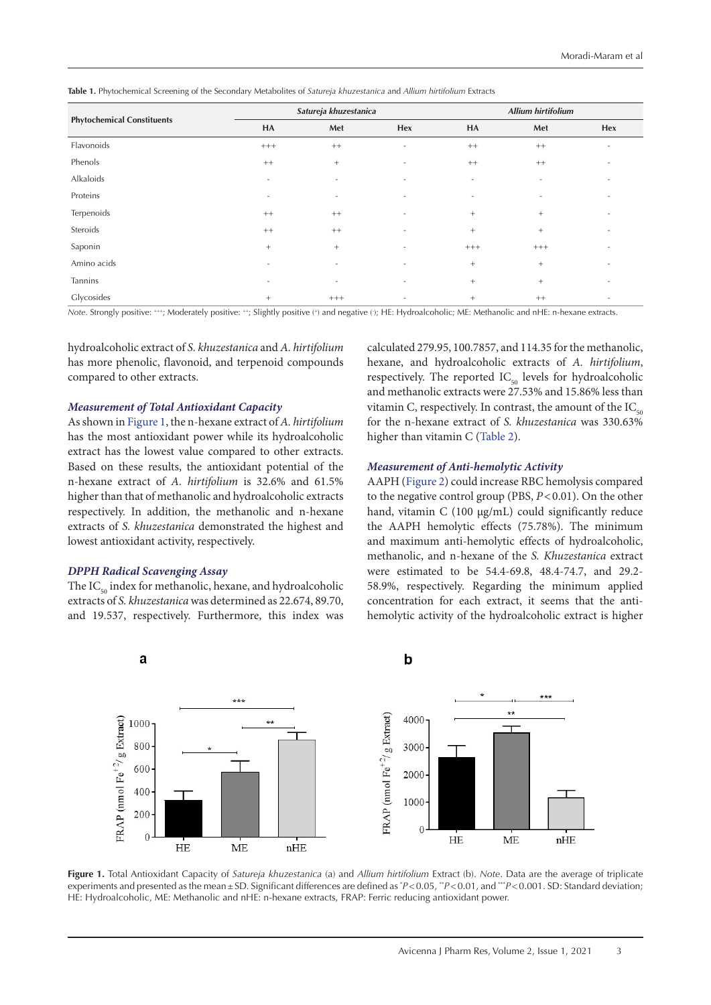<span id="page-2-0"></span>**Table 1.** Phytochemical Screening of the Secondary Metabolites of *Satureja khuzestanica* and *Allium hirtifolium* Extracts

|                                   | Satureja khuzestanica    |                          |                          | <b>Allium hirtifolium</b> |                          |                          |
|-----------------------------------|--------------------------|--------------------------|--------------------------|---------------------------|--------------------------|--------------------------|
| <b>Phytochemical Constituents</b> | HA                       | Met                      | Hex                      | HA                        | Met                      | Hex                      |
| Flavonoids                        | $^{+++}$                 | $^{++}$                  | $\overline{\phantom{a}}$ | $^{++}$                   | $^{++}$                  | $\overline{\phantom{a}}$ |
| Phenols                           | $^{++}$                  | $+$                      | $\overline{\phantom{a}}$ | $^{++}$                   | $^{++}$                  | $\overline{\phantom{a}}$ |
| Alkaloids                         | $\overline{\phantom{a}}$ | ٠                        | $\overline{\phantom{a}}$ | $\overline{\phantom{a}}$  | $\overline{\phantom{a}}$ | $\overline{\phantom{a}}$ |
| Proteins                          |                          | ٠                        |                          | $\overline{\phantom{a}}$  | $\overline{\phantom{a}}$ |                          |
| Terpenoids                        | $^{++}$                  | $^{++}$                  | $\overline{\phantom{a}}$ | $^{+}$                    | $+$                      | $\overline{\phantom{a}}$ |
| Steroids                          | $^{++}$                  | $^{++}$                  | $\overline{\phantom{a}}$ | $^{+}$                    | $+$                      | $\overline{\phantom{a}}$ |
| Saponin                           | $^{+}$                   | $^{+}$                   | $\overline{\phantom{a}}$ | $^{+++}$                  | $^{+++}$                 | $\overline{\phantom{a}}$ |
| Amino acids                       | $\overline{\phantom{a}}$ | $\overline{\phantom{a}}$ | $\overline{\phantom{a}}$ | $^{+}$                    | $\! + \!\!\!\!$          | $\overline{\phantom{a}}$ |
| Tannins                           | $\overline{\phantom{a}}$ | $\overline{\phantom{a}}$ | $\overline{\phantom{a}}$ | $^{+}$                    | $+$                      | $\overline{\phantom{a}}$ |
| Glycosides                        | $+$                      | $^{+++}$                 | $\overline{\phantom{a}}$ | $^{+}$                    | $^{++}$                  | $\overline{\phantom{a}}$ |

*Note*. Strongly positive: +++; Moderately positive: ++; Slightly positive (+) and negative (- ); HE: Hydroalcoholic; ME: Methanolic and nHE: n-hexane extracts.

hydroalcoholic extract of *S. khuzestanica* and *A. hirtifolium* has more phenolic, flavonoid, and terpenoid compounds compared to other extracts.

#### *Measurement of Total Antioxidant Capacity*

As shown in [Figure 1,](#page-2-1) the n-hexane extract of *A. hirtifolium* has the most antioxidant power while its hydroalcoholic extract has the lowest value compared to other extracts. Based on these results, the antioxidant potential of the n-hexane extract of *A. hirtifolium* is 32.6% and 61.5% higher than that of methanolic and hydroalcoholic extracts respectively. In addition, the methanolic and n-hexane extracts of *S. khuzestanica* demonstrated the highest and lowest antioxidant activity, respectively.

#### *DPPH Radical Scavenging Assay*

The  $IC_{50}$  index for methanolic, hexane, and hydroalcoholic extracts of *S. khuzestanica* was determined as 22.674, 89.70, and 19.537, respectively. Furthermore, this index was calculated 279.95, 100.7857, and 114.35 for the methanolic, hexane, and hydroalcoholic extracts of *A. hirtifolium*, respectively. The reported  $IC_{50}$  levels for hydroalcoholic and methanolic extracts were 27.53% and 15.86% less than vitamin C, respectively. In contrast, the amount of the  $IC_{50}$ for the n-hexane extract of *S. khuzestanica* was 330.63% higher than vitamin C ([Table 2](#page-3-0)).

#### *Measurement of Anti-hemolytic Activity*

AAPH ([Figure 2](#page-3-1)) could increase RBC hemolysis compared to the negative control group (PBS,  $P < 0.01$ ). On the other hand, vitamin C (100 μg/mL) could significantly reduce the AAPH hemolytic effects (75.78%). The minimum and maximum anti-hemolytic effects of hydroalcoholic, methanolic, and n-hexane of the *S. Khuzestanica* extract were estimated to be 54.4-69.8, 48.4-74.7, and 29.2- 58.9%, respectively. Regarding the minimum applied concentration for each extract, it seems that the antihemolytic activity of the hydroalcoholic extract is higher

<span id="page-2-1"></span>

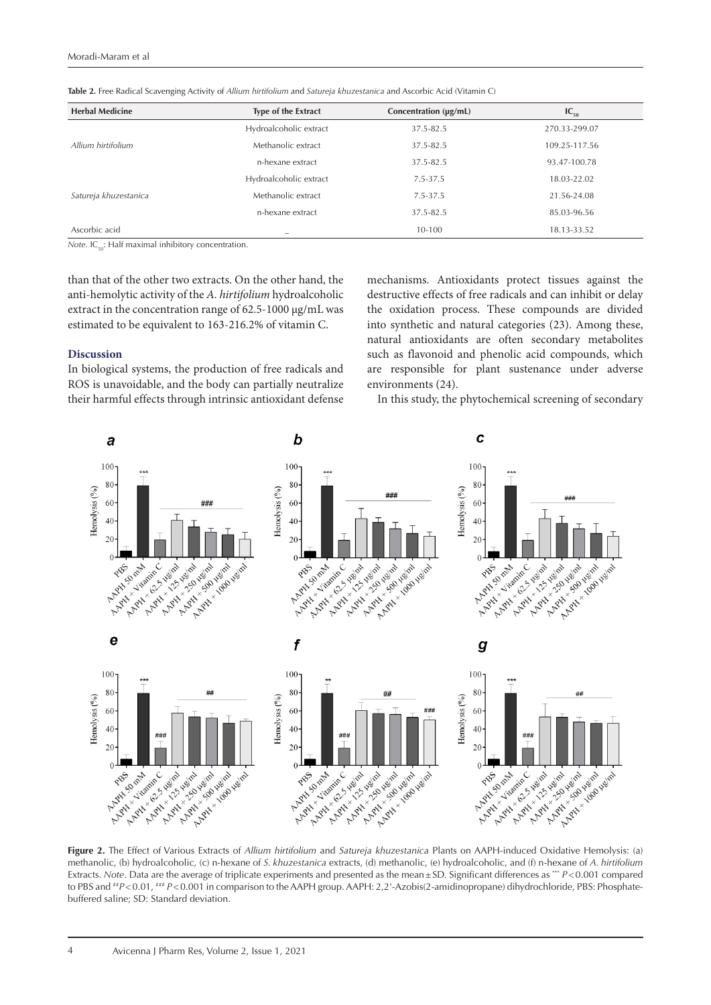| <b>Herbal Medicine</b> | Type of the Extract      | Concentration (µg/mL) | $IC_{50}$     |  |
|------------------------|--------------------------|-----------------------|---------------|--|
| Allium hirtifolium     | Hydroalcoholic extract   | 37.5-82.5             | 270.33-299.07 |  |
|                        | Methanolic extract       | 37.5-82.5             | 109.25-117.56 |  |
|                        | n-hexane extract         | 37.5-82.5             | 93.47-100.78  |  |
| Satureja khuzestanica  | Hydroalcoholic extract   | $7.5 - 37.5$          | 18.03-22.02   |  |
|                        | Methanolic extract       | 7.5-37.5              | 21.56-24.08   |  |
|                        | n-hexane extract         | 37.5-82.5             | 85.03-96.56   |  |
| Ascorbic acid          | $\overline{\phantom{a}}$ | 10-100                | 18.13-33.52   |  |

<span id="page-3-0"></span>**Table 2.** Free Radical Scavenging Activity of *Allium hirtifolium* and *Satureja khuzestanica* and Ascorbic Acid (Vitamin C)

*Note*. IC<sub>10</sub>: Half maximal inhibitory concentration.

than that of the other two extracts. On the other hand, the anti-hemolytic activity of the *A. hirtifolium* hydroalcoholic extract in the concentration range of 62.5-1000 µg/mL was estimated to be equivalent to 163-216.2% of vitamin C.

#### **Discussion**

In biological systems, the production of free radicals and ROS is unavoidable, and the body can partially neutralize their harmful effects through intrinsic antioxidant defense mechanisms. Antioxidants protect tissues against the destructive effects of free radicals and can inhibit or delay the oxidation process. These compounds are divided into synthetic and natural categories (23). Among these, natural antioxidants are often secondary metabolites such as flavonoid and phenolic acid compounds, which are responsible for plant sustenance under adverse environments (24).

In this study, the phytochemical screening of secondary

<span id="page-3-1"></span>

**Figure 2.** The Effect of Various Extracts of *Allium hirtifolium* and *Satureja khuzestanica* Plants on AAPH-induced Oxidative Hemolysis: (a) methanolic, (b) hydroalcoholic, (c) n-hexane of *S. khuzestanica* extracts, (d) methanolic, (e) hydroalcoholic, and (f) n-hexane of *A. hirtifolium* Extracts. *Note*. Data are the average of triplicate experiments and presented as the mean ± SD. Significant differences as \*\*\* *P*<0.001 compared to PBS and  $H^*P<0.01$ ,  $H^*P<0.001$  in comparison to the AAPH group. AAPH: 2,2'-Azobis(2-amidinopropane) dihydrochloride, PBS: Phosphatebuffered saline; SD: Standard deviation.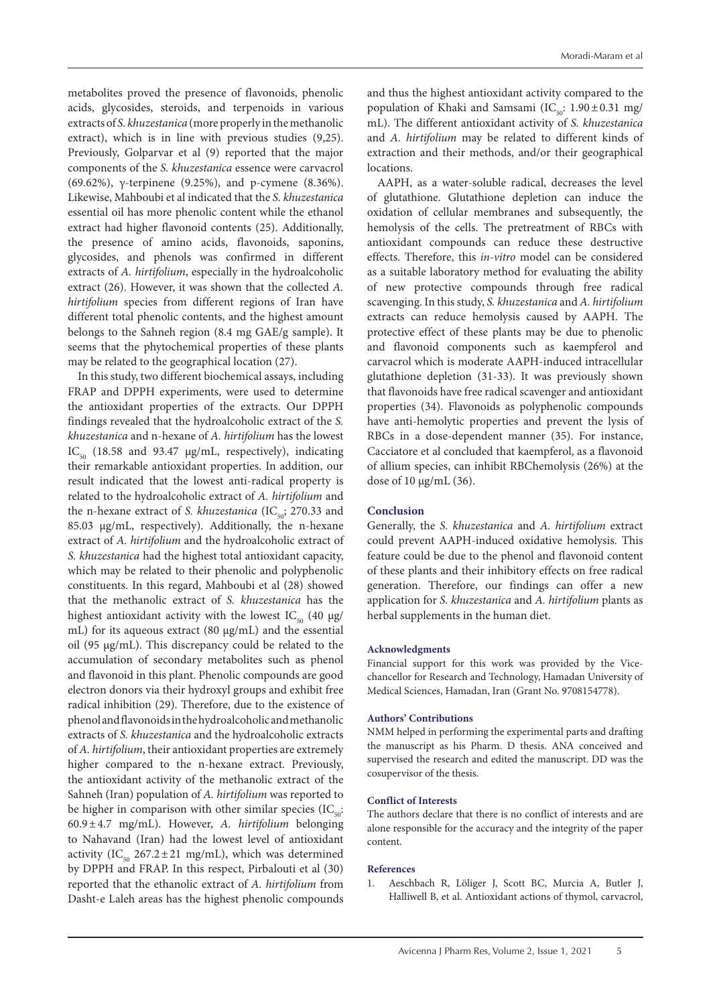metabolites proved the presence of flavonoids, phenolic acids, glycosides, steroids, and terpenoids in various extracts of *S. khuzestanica* (more properly in the methanolic extract), which is in line with previous studies (9,25). Previously, Golparvar et al (9) reported that the major components of the *S. khuzestanica* essence were carvacrol (69.62%), γ-terpinene (9.25%), and p-cymene (8.36%). Likewise, Mahboubi et al indicated that the *S. khuzestanica* essential oil has more phenolic content while the ethanol extract had higher flavonoid contents (25). Additionally, the presence of amino acids, flavonoids, saponins, glycosides, and phenols was confirmed in different extracts of *A. hirtifolium*, especially in the hydroalcoholic extract (26). However, it was shown that the collected *A. hirtifolium* species from different regions of Iran have different total phenolic contents, and the highest amount belongs to the Sahneh region (8.4 mg GAE/g sample). It seems that the phytochemical properties of these plants may be related to the geographical location (27).

In this study, two different biochemical assays, including FRAP and DPPH experiments, were used to determine the antioxidant properties of the extracts. Our DPPH findings revealed that the hydroalcoholic extract of the *S. khuzestanica* and n-hexane of *A. hirtifolium* has the lowest IC<sub>50</sub> (18.58 and 93.47  $\mu$ g/mL, respectively), indicating their remarkable antioxidant properties. In addition, our result indicated that the lowest anti-radical property is related to the hydroalcoholic extract of *A. hirtifolium* and the n-hexane extract of *S. khuzestanica* (IC<sub>50</sub>; 270.33 and 85.03 μg/mL, respectively). Additionally, the n-hexane extract of *A. hirtifolium* and the hydroalcoholic extract of *S. khuzestanica* had the highest total antioxidant capacity, which may be related to their phenolic and polyphenolic constituents. In this regard, Mahboubi et al (28) showed that the methanolic extract of *S. khuzestanica* has the highest antioxidant activity with the lowest IC<sub>50</sub> (40  $\mu$ g/ mL) for its aqueous extract (80 μg/mL) and the essential oil (95 μg/mL). This discrepancy could be related to the accumulation of secondary metabolites such as phenol and flavonoid in this plant. Phenolic compounds are good electron donors via their hydroxyl groups and exhibit free radical inhibition (29). Therefore, due to the existence of phenol and flavonoids in the hydroalcoholic and methanolic extracts of *S. khuzestanica* and the hydroalcoholic extracts of *A. hirtifolium*, their antioxidant properties are extremely higher compared to the n-hexane extract. Previously, the antioxidant activity of the methanolic extract of the Sahneh (Iran) population of *A. hirtifolium* was reported to be higher in comparison with other similar species  $(IC_{\text{tot}})$ : 60.9±4.7 mg/mL). However, *A. hirtifolium* belonging to Nahavand (Iran) had the lowest level of antioxidant activity (IC<sub>50</sub> 267.2 ± 21 mg/mL), which was determined by DPPH and FRAP. In this respect, Pirbalouti et al (30) reported that the ethanolic extract of *A. hirtifolium* from Dasht-e Laleh areas has the highest phenolic compounds

and thus the highest antioxidant activity compared to the population of Khaki and Samsami (IC $_{50}$ : 1.90±0.31 mg/ mL). The different antioxidant activity of *S. khuzestanica* and *A. hirtifolium* may be related to different kinds of extraction and their methods, and/or their geographical locations.

AAPH, as a water-soluble radical, decreases the level of glutathione. Glutathione depletion can induce the oxidation of cellular membranes and subsequently, the hemolysis of the cells. The pretreatment of RBCs with antioxidant compounds can reduce these destructive effects. Therefore, this *in-vitro* model can be considered as a suitable laboratory method for evaluating the ability of new protective compounds through free radical scavenging. In this study, *S. khuzestanica* and *A. hirtifolium* extracts can reduce hemolysis caused by AAPH. The protective effect of these plants may be due to phenolic and flavonoid components such as kaempferol and carvacrol which is moderate AAPH-induced intracellular glutathione depletion (31-33). It was previously shown that flavonoids have free radical scavenger and antioxidant properties (34). Flavonoids as polyphenolic compounds have anti-hemolytic properties and prevent the lysis of RBCs in a dose-dependent manner (35). For instance, Cacciatore et al concluded that kaempferol, as a flavonoid of allium species, can inhibit RBChemolysis (26%) at the dose of 10 µg/mL (36).

## **Conclusion**

Generally, the *S. khuzestanica* and *A. hirtifolium* extract could prevent AAPH-induced oxidative hemolysis. This feature could be due to the phenol and flavonoid content of these plants and their inhibitory effects on free radical generation. Therefore, our findings can offer a new application for *S. khuzestanica* and *A. hirtifolium* plants as herbal supplements in the human diet.

#### **Acknowledgments**

Financial support for this work was provided by the Vicechancellor for Research and Technology, Hamadan University of Medical Sciences, Hamadan, Iran (Grant No. 9708154778).

#### **Authors' Contributions**

NMM helped in performing the experimental parts and drafting the manuscript as his Pharm. D thesis. ANA conceived and supervised the research and edited the manuscript. DD was the cosupervisor of the thesis.

### **Conflict of Interests**

The authors declare that there is no conflict of interests and are alone responsible for the accuracy and the integrity of the paper content.

#### **References**

1. Aeschbach R, Löliger J, Scott BC, Murcia A, Butler J, Halliwell B, et al. Antioxidant actions of thymol, carvacrol,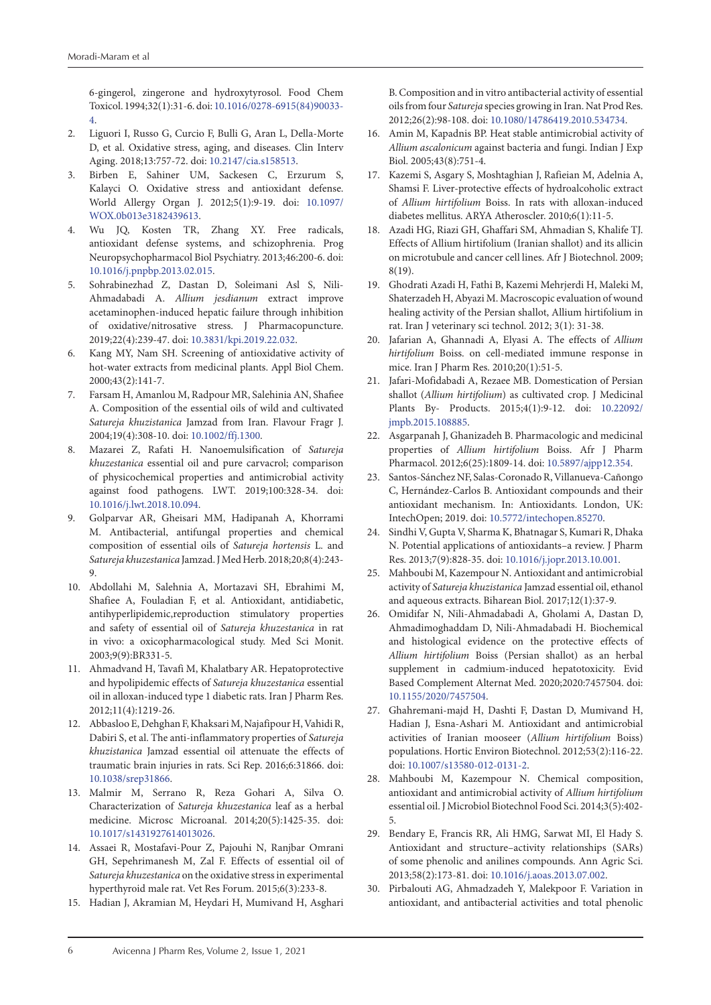6-gingerol, zingerone and hydroxytyrosol. Food Chem Toxicol. 1994;32(1):31-6. doi: [10.1016/0278-6915\(84\)90033-](https://doi.org/10.1016/0278-6915(84)90033-4) [4](https://doi.org/10.1016/0278-6915(84)90033-4).

- 2. Liguori I, Russo G, Curcio F, Bulli G, Aran L, Della-Morte D, et al. Oxidative stress, aging, and diseases. Clin Interv Aging. 2018;13:757-72. doi: [10.2147/cia.s158513.](https://doi.org/10.2147/cia.s158513)
- 3. Birben E, Sahiner UM, Sackesen C, Erzurum S, Kalayci O. Oxidative stress and antioxidant defense. World Allergy Organ J. 2012;5(1):9-19. doi: [10.1097/](https://doi.org/10.1097/WOX.0b013e3182439613) [WOX.0b013e3182439613](https://doi.org/10.1097/WOX.0b013e3182439613).
- 4. Wu JQ, Kosten TR, Zhang XY. Free radicals, antioxidant defense systems, and schizophrenia. Prog Neuropsychopharmacol Biol Psychiatry. 2013;46:200-6. doi: [10.1016/j.pnpbp.2013.02.015.](https://doi.org/10.1016/j.pnpbp.2013.02.015)
- 5. Sohrabinezhad Z, Dastan D, Soleimani Asl S, Nili-Ahmadabadi A. *Allium jesdianum* extract improve acetaminophen-induced hepatic failure through inhibition of oxidative/nitrosative stress. J Pharmacopuncture. 2019;22(4):239-47. doi: [10.3831/kpi.2019.22.032](https://doi.org/10.3831/kpi.2019.22.032).
- 6. Kang MY, Nam SH. Screening of antioxidative activity of hot-water extracts from medicinal plants. Appl Biol Chem. 2000;43(2):141-7.
- 7. Farsam H, Amanlou M, Radpour MR, Salehinia AN, Shafiee A. Composition of the essential oils of wild and cultivated *Satureja khuzistanica* Jamzad from Iran. Flavour Fragr J. 2004;19(4):308-10. doi: [10.1002/ffj.1300.](https://doi.org/10.1002/ffj.1300)
- 8. Mazarei Z, Rafati H. Nanoemulsification of *Satureja khuzestanica* essential oil and pure carvacrol; comparison of physicochemical properties and antimicrobial activity against food pathogens. LWT. 2019;100:328-34. doi: [10.1016/j.lwt.2018.10.094](https://doi.org/10.1016/j.lwt.2018.10.094).
- 9. Golparvar AR, Gheisari MM, Hadipanah A, Khorrami M. Antibacterial, antifungal properties and chemical composition of essential oils of *Satureja hortensis* L. and *Satureja khuzestanica* Jamzad. J Med Herb. 2018;20;8(4):243- 9.
- 10. Abdollahi M, Salehnia A, Mortazavi SH, Ebrahimi M, Shafiee A, Fouladian F, et al. Antioxidant, antidiabetic, antihyperlipidemic,reproduction stimulatory properties and safety of essential oil of *Satureja khuzestanica* in rat in vivo: a oxicopharmacological study. Med Sci Monit. 2003;9(9):BR331-5.
- 11. Ahmadvand H, Tavafi M, Khalatbary AR. Hepatoprotective and hypolipidemic effects of *Satureja khuzestanica* essential oil in alloxan-induced type 1 diabetic rats. Iran J Pharm Res. 2012;11(4):1219-26.
- 12. Abbasloo E, Dehghan F, Khaksari M, Najafipour H, Vahidi R, Dabiri S, et al. The anti-inflammatory properties of *Satureja khuzistanica* Jamzad essential oil attenuate the effects of traumatic brain injuries in rats. Sci Rep. 2016;6:31866. doi: [10.1038/srep31866](https://doi.org/10.1038/srep31866).
- 13. Malmir M, Serrano R, Reza Gohari A, Silva O. Characterization of *Satureja khuzestanica* leaf as a herbal medicine. Microsc Microanal. 2014;20(5):1425-35. doi: [10.1017/s1431927614013026](https://doi.org/10.1017/s1431927614013026).
- 14. Assaei R, Mostafavi-Pour Z, Pajouhi N, Ranjbar Omrani GH, Sepehrimanesh M, Zal F. Effects of essential oil of *Satureja khuzestanica* on the oxidative stress in experimental hyperthyroid male rat. Vet Res Forum. 2015;6(3):233-8.
- 15. Hadian J, Akramian M, Heydari H, Mumivand H, Asghari

B. Composition and in vitro antibacterial activity of essential oils from four *Satureja* species growing in Iran. Nat Prod Res. 2012;26(2):98-108. doi: [10.1080/14786419.2010.534734.](https://doi.org/10.1080/14786419.2010.534734)

- 16. Amin M, Kapadnis BP. Heat stable antimicrobial activity of *Allium ascalonicum* against bacteria and fungi. Indian J Exp Biol. 2005;43(8):751-4.
- 17. Kazemi S, Asgary S, Moshtaghian J, Rafieian M, Adelnia A, Shamsi F. Liver-protective effects of hydroalcoholic extract of *Allium hirtifolium* Boiss. In rats with alloxan-induced diabetes mellitus. ARYA Atheroscler. 2010;6(1):11-5.
- 18. Azadi HG, Riazi GH, Ghaffari SM, Ahmadian S, Khalife TJ. Effects of Allium hirtifolium (Iranian shallot) and its allicin on microtubule and cancer cell lines. Afr J Biotechnol. 2009; 8(19).
- 19. Ghodrati Azadi H, Fathi B, Kazemi Mehrjerdi H, Maleki M, Shaterzadeh H, Abyazi M. Macroscopic evaluation of wound healing activity of the Persian shallot, Allium hirtifolium in rat. Iran J veterinary sci technol. 2012; 3(1): 31-38.
- 20. Jafarian A, Ghannadi A, Elyasi A. The effects of *Allium hirtifolium* Boiss. on cell-mediated immune response in mice. Iran J Pharm Res. 2010;20(1):51-5.
- 21. Jafari-Mofidabadi A, Rezaee MB. Domestication of Persian shallot (*Allium hirtifolium*) as cultivated crop. J Medicinal Plants By- Products. 2015;4(1):9-12. doi: [10.22092/](https://doi.org/10.22092/jmpb.2015.108885) [jmpb.2015.108885](https://doi.org/10.22092/jmpb.2015.108885).
- 22. Asgarpanah J, Ghanizadeh B. Pharmacologic and medicinal properties of *Allium hirtifolium* Boiss. Afr J Pharm Pharmacol. 2012;6(25):1809-14. doi: [10.5897/ajpp12.354](https://doi.org/10.5897/ajpp12.354).
- 23. Santos-Sánchez NF, Salas-Coronado R, Villanueva-Cañongo C, Hernández-Carlos B. Antioxidant compounds and their antioxidant mechanism. In: Antioxidants. London, UK: IntechOpen; 2019. doi: [10.5772/intechopen.85270.](https://doi.org/10.5772/intechopen.85270)
- 24. Sindhi V, Gupta V, Sharma K, Bhatnagar S, Kumari R, Dhaka N. Potential applications of antioxidants–a review. J Pharm Res. 2013;7(9):828-35. doi: [10.1016/j.jopr.2013.10.001.](https://doi.org/10.1016/j.jopr.2013.10.001)
- 25. Mahboubi M, Kazempour N. Antioxidant and antimicrobial activity of *Satureja khuzistanica* Jamzad essential oil, ethanol and aqueous extracts. Biharean Biol. 2017;12(1):37-9.
- 26. Omidifar N, Nili-Ahmadabadi A, Gholami A, Dastan D, Ahmadimoghaddam D, Nili-Ahmadabadi H. Biochemical and histological evidence on the protective effects of *Allium hirtifolium* Boiss (Persian shallot) as an herbal supplement in cadmium-induced hepatotoxicity. Evid Based Complement Alternat Med. 2020;2020:7457504. doi: [10.1155/2020/7457504](https://doi.org/10.1155/2020/7457504).
- 27. Ghahremani-majd H, Dashti F, Dastan D, Mumivand H, Hadian J, Esna-Ashari M. Antioxidant and antimicrobial activities of Iranian mooseer (*Allium hirtifolium* Boiss) populations. Hortic Environ Biotechnol. 2012;53(2):116-22. doi: [10.1007/s13580-012-0131-2](https://doi.org/10.1007/s13580-012-0131-2).
- 28. Mahboubi M, Kazempour N. Chemical composition, antioxidant and antimicrobial activity of *Allium hirtifolium* essential oil. J Microbiol Biotechnol Food Sci. 2014;3(5):402- 5.
- 29. Bendary E, Francis RR, Ali HMG, Sarwat MI, El Hady S. Antioxidant and structure–activity relationships (SARs) of some phenolic and anilines compounds. Ann Agric Sci. 2013;58(2):173-81. doi: [10.1016/j.aoas.2013.07.002.](https://doi.org/10.1016/j.aoas.2013.07.002)
- 30. Pirbalouti AG, Ahmadzadeh Y, Malekpoor F. Variation in antioxidant, and antibacterial activities and total phenolic